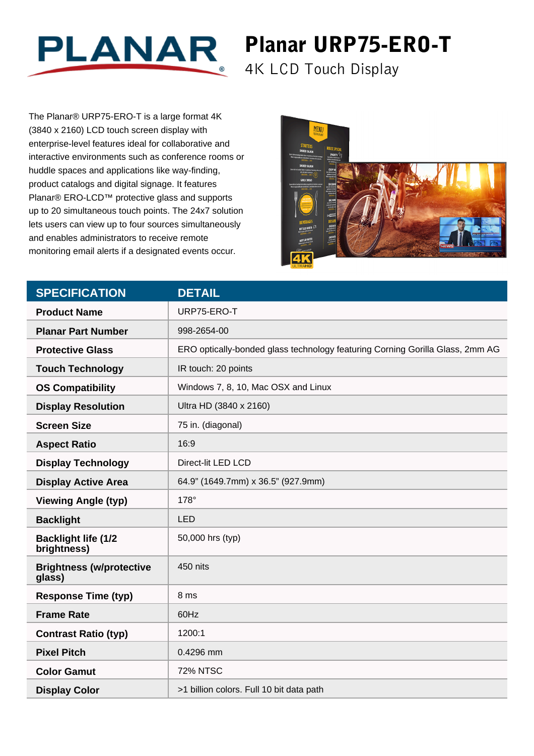

## Planar URP75-ERO-T

4K LCD Touch Display

The Planar® URP75-ERO-T is a large format 4K (3840 x 2160) LCD touch screen display with enterprise-level features ideal for collaborative and interactive environments such as conference rooms or huddle spaces and applications like way-finding, product catalogs and digital signage. It features Planar® ERO-LCD™ protective glass and supports up to 20 simultaneous touch points. The 24x7 solution lets users can view up to four sources simultaneously and enables administrators to receive remote monitoring email alerts if a designated events occur.



| <b>SPECIFICATION</b>                      | <b>DETAIL</b>                                                                 |
|-------------------------------------------|-------------------------------------------------------------------------------|
| <b>Product Name</b>                       | URP75-ERO-T                                                                   |
| <b>Planar Part Number</b>                 | 998-2654-00                                                                   |
| <b>Protective Glass</b>                   | ERO optically-bonded glass technology featuring Corning Gorilla Glass, 2mm AG |
| <b>Touch Technology</b>                   | IR touch: 20 points                                                           |
| <b>OS Compatibility</b>                   | Windows 7, 8, 10, Mac OSX and Linux                                           |
| <b>Display Resolution</b>                 | Ultra HD (3840 x 2160)                                                        |
| <b>Screen Size</b>                        | 75 in. (diagonal)                                                             |
| <b>Aspect Ratio</b>                       | 16:9                                                                          |
| <b>Display Technology</b>                 | Direct-lit LED LCD                                                            |
| <b>Display Active Area</b>                | 64.9" (1649.7mm) x 36.5" (927.9mm)                                            |
| <b>Viewing Angle (typ)</b>                | 178°                                                                          |
| <b>Backlight</b>                          | <b>LED</b>                                                                    |
| <b>Backlight life (1/2</b><br>brightness) | 50,000 hrs (typ)                                                              |
| <b>Brightness (w/protective</b><br>glass) | 450 nits                                                                      |
| <b>Response Time (typ)</b>                | 8 ms                                                                          |
| <b>Frame Rate</b>                         | 60Hz                                                                          |
| <b>Contrast Ratio (typ)</b>               | 1200:1                                                                        |
| <b>Pixel Pitch</b>                        | 0.4296 mm                                                                     |
| <b>Color Gamut</b>                        | <b>72% NTSC</b>                                                               |
| <b>Display Color</b>                      | >1 billion colors. Full 10 bit data path                                      |